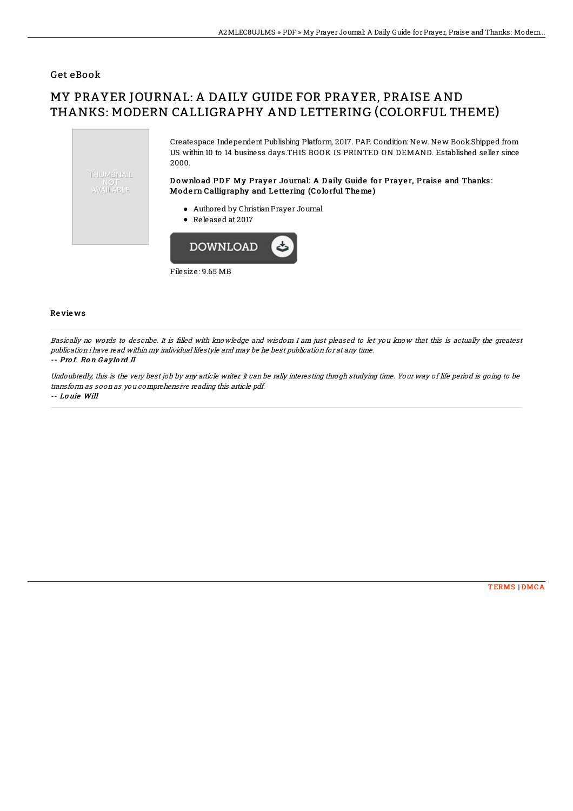### Get eBook

# MY PRAYER JOURNAL: A DAILY GUIDE FOR PRAYER, PRAISE AND THANKS: MODERN CALLIGRAPHY AND LETTERING (COLORFUL THEME)



Filesize: 9.65 MB

#### Re vie ws

Basically no words to describe. It is filled with knowledge and wisdom I am just pleased to let you know that this is actually the greatest publication i have read within my individual lifestyle and may be he best publication for at any time.

#### -- Prof. Ron Gaylord II

Undoubtedly, this is the very best job by any article writer. It can be rally interesting throgh studying time. Your way of life period is going to be transform as soon as you comprehensive reading this article pdf. -- Lo uie Will